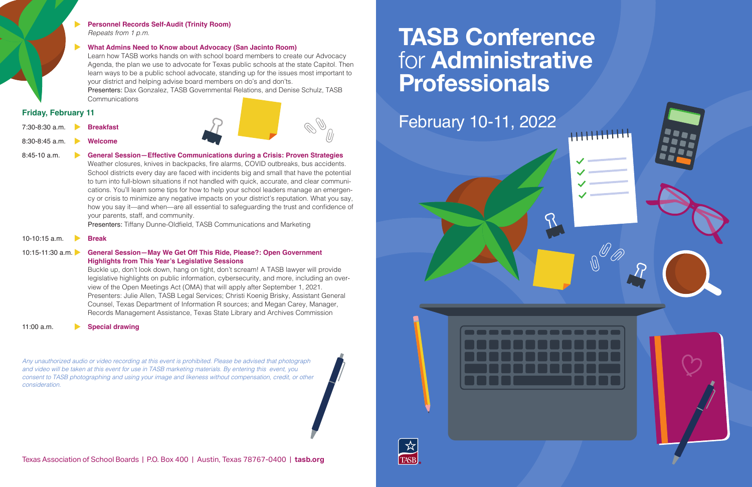# **TASB Conference**  for **Administrative Professionals**





**Personnel Records Self-Audit (Trinity Room)** *Repeats from 1 p.m.*

#### **What Admins Need to Know about Advocacy (San Jacinto Room)**

 Presenters: Dax Gonzalez, TASB Governmental Relations, and Denise Schulz, TASB **Communications** 

Learn how TASB works hands on with school board members to create our Advocacy Agenda, the plan we use to advocate for Texas public schools at the state Capitol. Then learn ways to be a public school advocate, standing up for the issues most important to your district and helping advise board members on do's and don'ts.

#### **Friday, February 11**

- 7:30-8:30 a.m. **Breakfast**
- 8:30-8:45 a.m. **Welcome**

8:45-10 a.m. **General Session—Effective Communications during a Crisis: Proven Strategies** Weather closures, knives in backpacks, fire alarms, COVID outbreaks, bus accidents. School districts every day are faced with incidents big and small that have the potential to turn into full-blown situations if not handled with quick, accurate, and clear communications. You'll learn some tips for how to help your school leaders manage an emergency or crisis to minimize any negative impacts on your district's reputation. What you say, how you say it—and when—are all essential to safeguarding the trust and confidence of your parents, staff, and community.

Presenters: Tiffany Dunne-Oldfield, TASB Communications and Marketing

#### 10-10:15 a.m. **Break**

#### 10:15-11:30 a.m. **General Session—May We Get Off This Ride, Please?: Open Government Highlights from This Year's Legislative Sessions**

Buckle up, don't look down, hang on tight, don't scream! A TASB lawyer will provide legislative highlights on public information, cybersecurity, and more, including an overview of the Open Meetings Act (OMA) that will apply after September 1, 2021. Presenters: Julie Allen, TASB Legal Services; Christi Koenig Brisky, Assistant General Counsel, Texas Department of Information R sources; and Megan Carey, Manager, Records Management Assistance, Texas State Library and Archives Commission

#### 11:00 a.m. **Special drawing**

*Any unauthorized audio or video recording at this event is prohibited. Please be advised that photograph and video will be taken at this event for use in TASB marketing materials. By entering this event, you consent to TASB photographing and using your image and likeness without compensation, credit, or other consideration.*